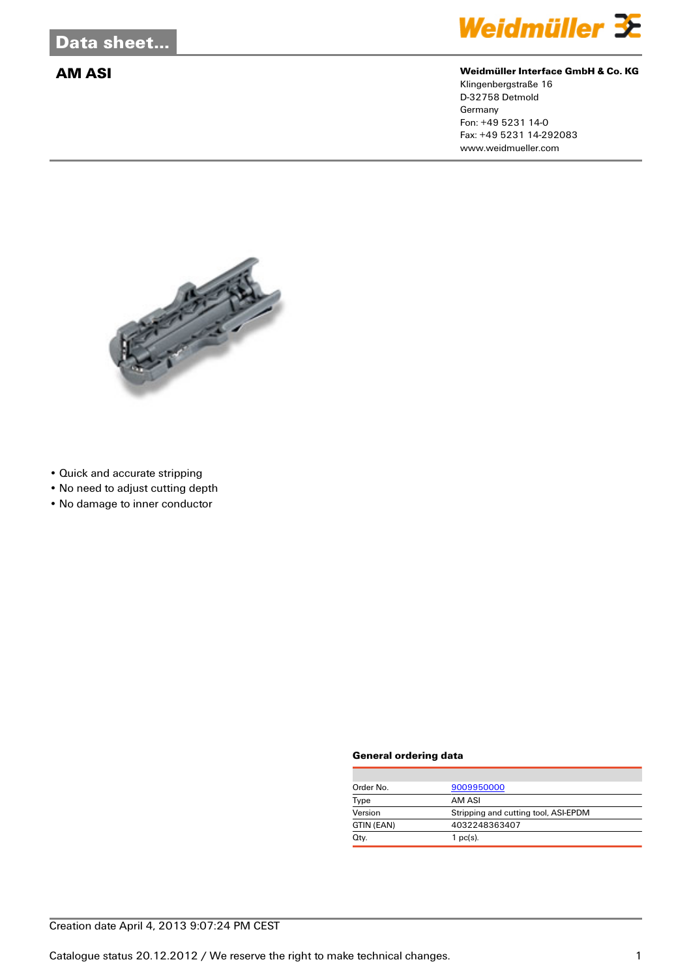

## **AM ASI Weidmüller Interface GmbH & Co. KG**

Klingenbergstraße 16 D-32758 Detmold Germany Fon: +49 5231 14-0 Fax: +49 5231 14-292083 www.weidmueller.com



- Quick and accurate stripping
- No need to adjust cutting depth
- No damage to inner conductor

### **General ordering data**

| Order No.  | 9009950000                           |  |
|------------|--------------------------------------|--|
| Type       | AM ASI                               |  |
| Version    | Stripping and cutting tool, ASI-EPDM |  |
| GTIN (EAN) | 4032248363407                        |  |
| Qty.       | $1$ pc(s).                           |  |